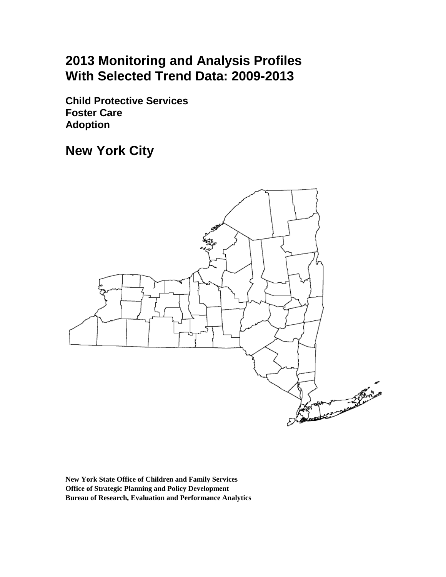# **2013 Monitoring and Analysis Profiles With Selected Trend Data: 2009-2013**

**Child Protective Services Foster Care Adoption** 

**New York City**



**New York State Office of Children and Family Services Office of Strategic Planning and Policy Development Bureau of Research, Evaluation and Performance Analytics**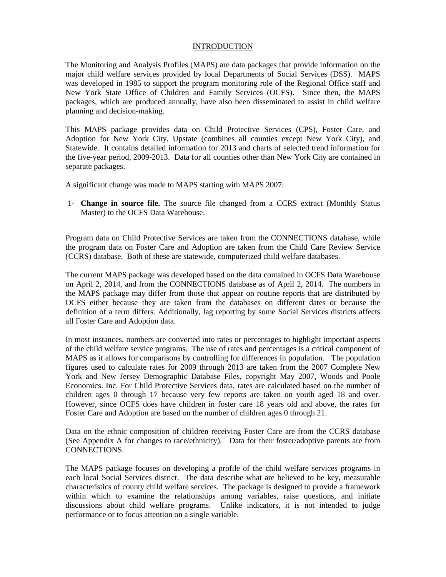#### INTRODUCTION

The Monitoring and Analysis Profiles (MAPS) are data packages that provide information on the major child welfare services provided by local Departments of Social Services (DSS). MAPS was developed in 1985 to support the program monitoring role of the Regional Office staff and New York State Office of Children and Family Services (OCFS). Since then, the MAPS packages, which are produced annually, have also been disseminated to assist in child welfare planning and decision-making.

This MAPS package provides data on Child Protective Services (CPS), Foster Care, and Adoption for New York City, Upstate (combines all counties except New York City), and Statewide. It contains detailed information for 2013 and charts of selected trend information for the five-year period, 2009-2013. Data for all counties other than New York City are contained in separate packages.

A significant change was made to MAPS starting with MAPS 2007:

1- **Change in source file.** The source file changed from a CCRS extract (Monthly Status Master) to the OCFS Data Warehouse.

Program data on Child Protective Services are taken from the CONNECTIONS database, while the program data on Foster Care and Adoption are taken from the Child Care Review Service (CCRS) database. Both of these are statewide, computerized child welfare databases.

The current MAPS package was developed based on the data contained in OCFS Data Warehouse on April 2, 2014, and from the CONNECTIONS database as of April 2, 2014. The numbers in the MAPS package may differ from those that appear on routine reports that are distributed by OCFS either because they are taken from the databases on different dates or because the definition of a term differs. Additionally, lag reporting by some Social Services districts affects all Foster Care and Adoption data.

In most instances, numbers are converted into rates or percentages to highlight important aspects of the child welfare service programs. The use of rates and percentages is a critical component of MAPS as it allows for comparisons by controlling for differences in population. The population figures used to calculate rates for 2009 through 2013 are taken from the 2007 Complete New York and New Jersey Demographic Database Files, copyright May 2007, Woods and Poole Economics. Inc. For Child Protective Services data, rates are calculated based on the number of children ages 0 through 17 because very few reports are taken on youth aged 18 and over. However, since OCFS does have children in foster care 18 years old and above, the rates for Foster Care and Adoption are based on the number of children ages 0 through 21.

Data on the ethnic composition of children receiving Foster Care are from the CCRS database (See Appendix A for changes to race/ethnicity). Data for their foster/adoptive parents are from CONNECTIONS.

The MAPS package focuses on developing a profile of the child welfare services programs in each local Social Services district. The data describe what are believed to be key, measurable characteristics of county child welfare services. The package is designed to provide a framework within which to examine the relationships among variables, raise questions, and initiate discussions about child welfare programs. Unlike indicators, it is not intended to judge performance or to focus attention on a single variable.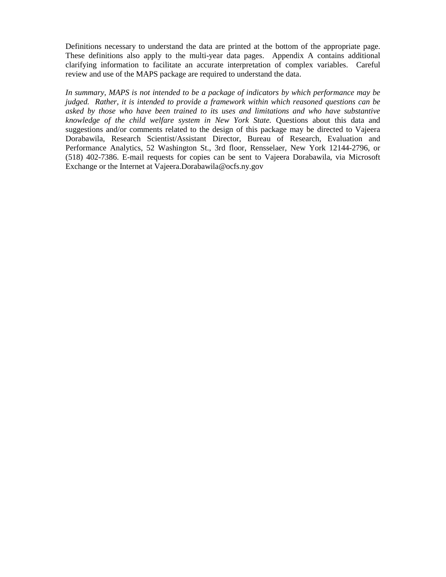Definitions necessary to understand the data are printed at the bottom of the appropriate page. These definitions also apply to the multi-year data pages. Appendix A contains additional clarifying information to facilitate an accurate interpretation of complex variables. Careful review and use of the MAPS package are required to understand the data.

*In summary, MAPS is not intended to be a package of indicators by which performance may be judged. Rather, it is intended to provide a framework within which reasoned questions can be asked by those who have been trained to its uses and limitations and who have substantive knowledge of the child welfare system in New York State.* Questions about this data and suggestions and/or comments related to the design of this package may be directed to Vajeera Dorabawila, Research Scientist/Assistant Director, Bureau of Research, Evaluation and Performance Analytics, 52 Washington St., 3rd floor, Rensselaer, New York 12144-2796, or (518) 402-7386. E-mail requests for copies can be sent to Vajeera Dorabawila, via Microsoft Exchange or the Internet at Vajeera.Dorabawila@ocfs.ny.gov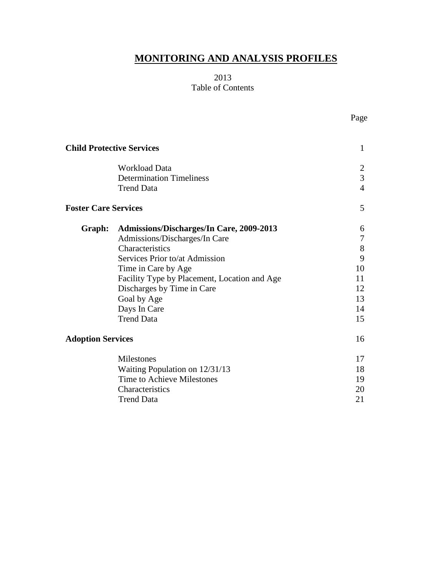# **MONITORING AND ANALYSIS PROFILES**

# 2013 Table of Contents

|                             | <b>Child Protective Services</b>                                             | 1                                     |
|-----------------------------|------------------------------------------------------------------------------|---------------------------------------|
|                             | <b>Workload Data</b><br><b>Determination Timeliness</b><br><b>Trend Data</b> | 2<br>$\overline{3}$<br>$\overline{4}$ |
| <b>Foster Care Services</b> |                                                                              | 5                                     |
| Graph:                      | <b>Admissions/Discharges/In Care, 2009-2013</b>                              | 6                                     |
|                             | Admissions/Discharges/In Care                                                | 7                                     |
|                             | Characteristics                                                              | 8                                     |
|                             | Services Prior to/at Admission                                               | 9                                     |
|                             | Time in Care by Age                                                          | 10                                    |
|                             | Facility Type by Placement, Location and Age                                 | 11                                    |
|                             | Discharges by Time in Care                                                   | 12                                    |
|                             | Goal by Age                                                                  | 13                                    |
|                             | Days In Care                                                                 | 14                                    |
|                             | <b>Trend Data</b>                                                            | 15                                    |
| <b>Adoption Services</b>    |                                                                              | 16                                    |
|                             | Milestones                                                                   | 17                                    |
|                             | Waiting Population on 12/31/13                                               | 18                                    |
|                             | Time to Achieve Milestones                                                   | 19                                    |
|                             | Characteristics                                                              | 20                                    |
|                             | <b>Trend Data</b>                                                            | 21                                    |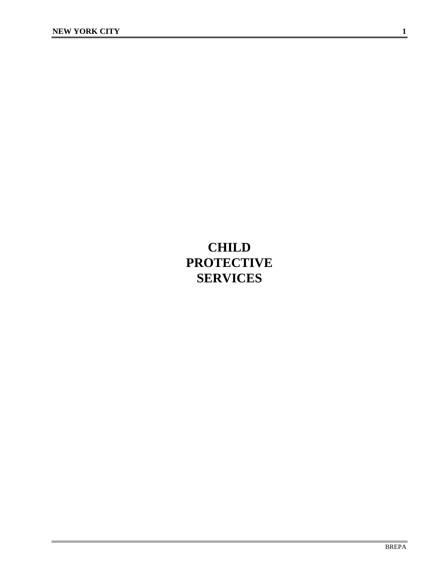# **CHILD PROTECTIVE SERVICES**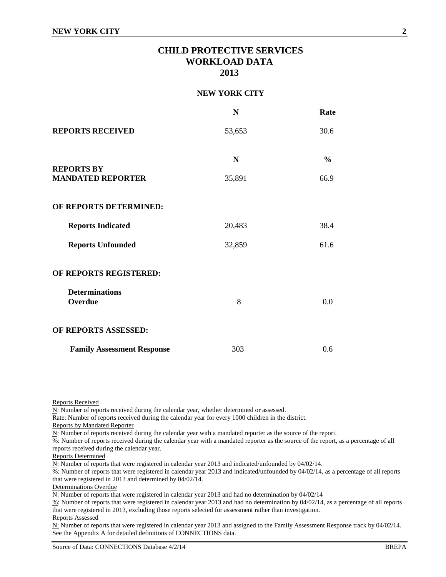## **CHILD PROTECTIVE SERVICES WORKLOAD DATA 2013**

#### **NEW YORK CITY**

|                                   | N      | Rate          |
|-----------------------------------|--------|---------------|
| <b>REPORTS RECEIVED</b>           | 53,653 | 30.6          |
| <b>REPORTS BY</b>                 | N      | $\frac{6}{6}$ |
| <b>MANDATED REPORTER</b>          | 35,891 | 66.9          |
| OF REPORTS DETERMINED:            |        |               |
| <b>Reports Indicated</b>          | 20,483 | 38.4          |
| <b>Reports Unfounded</b>          | 32,859 | 61.6          |
| OF REPORTS REGISTERED:            |        |               |
| <b>Determinations</b><br>Overdue  | 8      | 0.0           |
| OF REPORTS ASSESSED:              |        |               |
| <b>Family Assessment Response</b> | 303    | 0.6           |

Reports Received

N: Number of reports received during the calendar year, whether determined or assessed.

Rate: Number of reports received during the calendar year for every 1000 children in the district.

Reports by Mandated Reporter

N: Number of reports received during the calendar year with a mandated reporter as the source of the report.

%: Number of reports received during the calendar year with a mandated reporter as the source of the report, as a percentage of all reports received during the calendar year.

Reports Determined

N: Number of reports that were registered in calendar year 2013 and indicated/unfounded by 04/02/14.

%: Number of reports that were registered in calendar year 2013 and indicated/unfounded by 04/02/14, as a percentage of all reports that were registered in 2013 and determined by 04/02/14.

Determinations Overdue

N: Number of reports that were registered in calendar year 2013 and had no determination by 04/02/14

 $\frac{\%}{\%}$ : Number of reports that were registered in calendar year 2013 and had no determination by 04/02/14, as a percentage of all reports that were registered in 2013, excluding those reports selected for assessment rather than investigation.

Reports Assessed

N: Number of reports that were registered in calendar year 2013 and assigned to the Family Assessment Response track by 04/02/14. See the Appendix A for detailed definitions of CONNECTIONS data.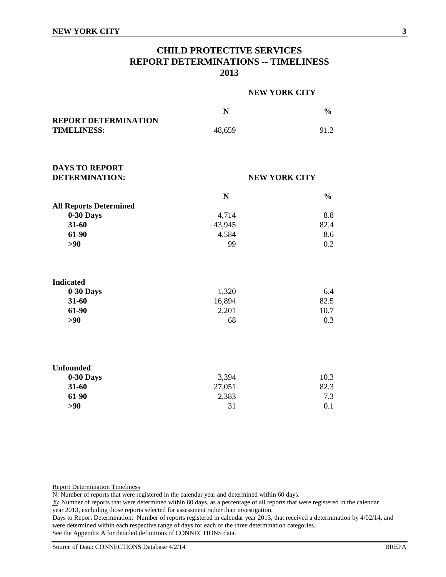## **CHILD PROTECTIVE SERVICES REPORT DETERMINATIONS -- TIMELINESS 2013**

|                                                   |             | <b>NEW YORK CITY</b> |  |  |
|---------------------------------------------------|-------------|----------------------|--|--|
|                                                   | $\mathbf N$ | $\frac{0}{0}$        |  |  |
| <b>REPORT DETERMINATION</b><br><b>TIMELINESS:</b> | 48,659      | 91.2                 |  |  |
|                                                   |             |                      |  |  |
| <b>DAYS TO REPORT</b>                             |             |                      |  |  |
| <b>DETERMINATION:</b>                             |             | <b>NEW YORK CITY</b> |  |  |
|                                                   | N           | $\frac{0}{0}$        |  |  |
| <b>All Reports Determined</b>                     |             |                      |  |  |
| 0-30 Days                                         | 4,714       | 8.8                  |  |  |
| 31-60                                             | 43,945      | 82.4                 |  |  |
| 61-90                                             | 4,584       | 8.6                  |  |  |
| $>90$                                             | 99          | 0.2                  |  |  |
| <b>Indicated</b>                                  |             |                      |  |  |
| 0-30 Days                                         | 1,320       | 6.4                  |  |  |
| 31-60                                             | 16,894      | 82.5                 |  |  |
| 61-90                                             | 2,201       | 10.7                 |  |  |
| $>90$                                             | 68          | 0.3                  |  |  |
| <b>Unfounded</b>                                  |             |                      |  |  |
| 0-30 Days                                         | 3,394       | 10.3                 |  |  |
| 31-60                                             | 27,051      | 82.3                 |  |  |
| 61-90                                             | 2,383       | 7.3                  |  |  |
| $>90$                                             | 31          | 0.1                  |  |  |

Report Determination Timeliness

N: Number of reports that were registered in the calendar year and determined within 60 days.

%: Number of reports that were determined within 60 days, as a percentage of all reports that were registered in the calendar year 2013, excluding those reports selected for assessment rather than investigation.

Days to Report Determination: Number of reports registered in calendar year 2013, that received a determination by 4/02/14, and were determined within each respective range of days for each of the three determination categories. See the Appendix A for detailed definitions of CONNECTIONS data.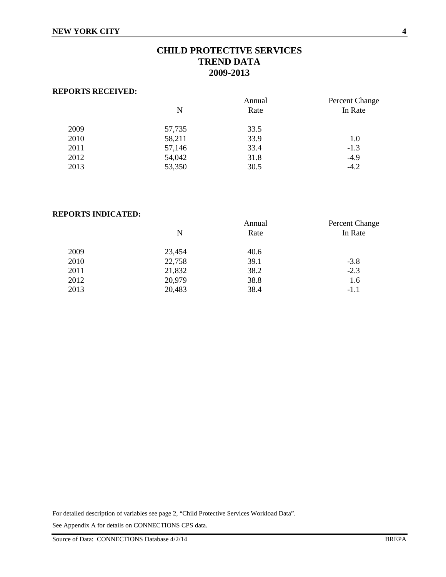# **CHILD PROTECTIVE SERVICES TREND DATA 2009-2013**

#### **REPORTS RECEIVED:**

|      |        | Annual | <b>Percent Change</b> |
|------|--------|--------|-----------------------|
|      | N      | Rate   | In Rate               |
| 2009 | 57,735 | 33.5   |                       |
| 2010 | 58,211 | 33.9   | 1.0                   |
| 2011 | 57,146 | 33.4   | $-1.3$                |
| 2012 | 54,042 | 31.8   | $-4.9$                |
| 2013 | 53,350 | 30.5   | $-4.2$                |
|      |        |        |                       |

#### **REPORTS INDICATED:**

|      |        | Annual | Percent Change |
|------|--------|--------|----------------|
|      | N      | Rate   | In Rate        |
| 2009 | 23,454 | 40.6   |                |
| 2010 | 22,758 | 39.1   | $-3.8$         |
| 2011 | 21,832 | 38.2   | $-2.3$         |
| 2012 | 20,979 | 38.8   | 1.6            |
| 2013 | 20,483 | 38.4   | $-1.1$         |
|      |        |        |                |

For detailed description of variables see page 2, "Child Protective Services Workload Data".

See Appendix A for details on CONNECTIONS CPS data.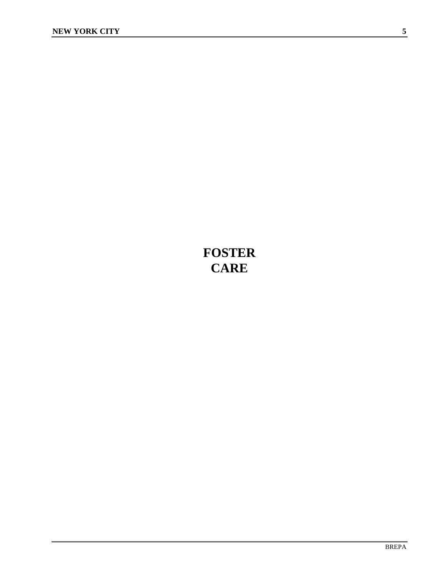# **FOSTER CARE**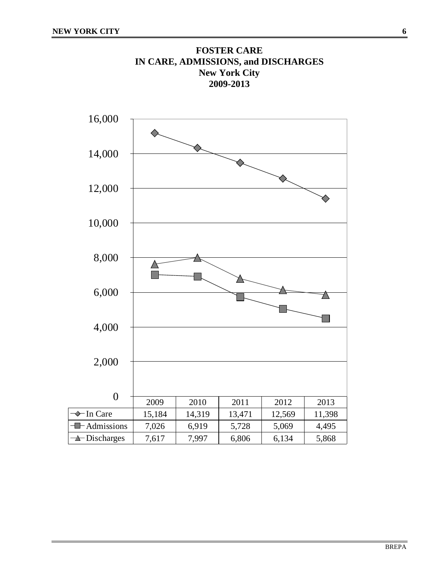

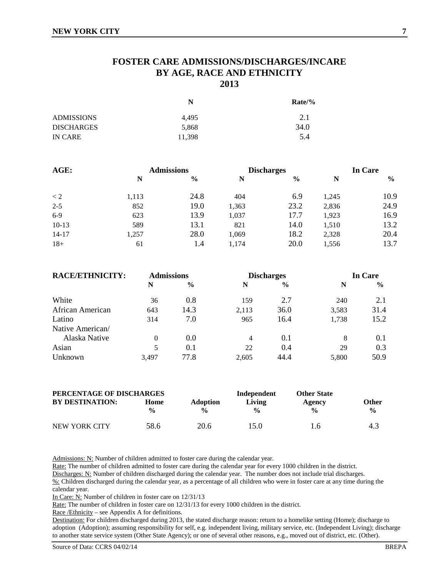## **FOSTER CARE ADMISSIONS/DISCHARGES/INCARE BY AGE, RACE AND ETHNICITY 2013**

|                   | N      | $Rate/$ % |
|-------------------|--------|-----------|
| <b>ADMISSIONS</b> | 4.495  | 2.1       |
| <b>DISCHARGES</b> | 5,868  | 34.0      |
| IN CARE           | 11.398 | 5.4       |

| AGE:      |       | <b>Admissions</b> |       | <b>Discharges</b> |       | In Care       |  |
|-----------|-------|-------------------|-------|-------------------|-------|---------------|--|
|           | N     | $\frac{6}{6}$     | N     | $\frac{0}{0}$     | N     | $\frac{6}{9}$ |  |
| $\lt 2$   | 1,113 | 24.8              | 404   | 6.9               | 1,245 | 10.9          |  |
| $2 - 5$   | 852   | 19.0              | 1,363 | 23.2              | 2,836 | 24.9          |  |
| $6-9$     | 623   | 13.9              | 1,037 | 17.7              | 1,923 | 16.9          |  |
| $10-13$   | 589   | 13.1              | 821   | 14.0              | 1,510 | 13.2          |  |
| $14 - 17$ | 1,257 | 28.0              | 1,069 | 18.2              | 2,328 | 20.4          |  |
| $18+$     | 61    | 1.4               | 1,174 | 20.0              | 1,556 | 13.7          |  |

| <b>RACE/ETHNICITY:</b> | <b>Admissions</b> |               | <b>Discharges</b> |      | <b>In Care</b> |               |
|------------------------|-------------------|---------------|-------------------|------|----------------|---------------|
|                        | N                 | $\frac{6}{6}$ | N                 | $\%$ | N              | $\frac{0}{0}$ |
| White                  | 36                | 0.8           | 159               | 2.7  | 240            | 2.1           |
| African American       | 643               | 14.3          | 2,113             | 36.0 | 3,583          | 31.4          |
| Latino                 | 314               | 7.0           | 965               | 16.4 | 1,738          | 15.2          |
| Native American/       |                   |               |                   |      |                |               |
| Alaska Native          | 0                 | 0.0           | 4                 | 0.1  | 8              | 0.1           |
| Asian                  |                   | 0.1           | 22                | 0.4  | 29             | 0.3           |
| Unknown                | 3.497             | 77.8          | 2.605             | 44.4 | 5,800          | 50.9          |

| PERCENTAGE OF DISCHARGES |                       |                                  | Independent             | <b>Other State</b>      |                               |
|--------------------------|-----------------------|----------------------------------|-------------------------|-------------------------|-------------------------------|
| <b>BY DESTINATION:</b>   | Home<br>$\frac{0}{0}$ | <b>Adoption</b><br>$\frac{0}{0}$ | Living<br>$\frac{0}{0}$ | Agency<br>$\frac{0}{0}$ | <b>Other</b><br>$\frac{0}{0}$ |
| NEW YORK CITY            | 58.6                  | 20.6                             | 15.0                    | 1.6                     | 4.3                           |

Admissions: N: Number of children admitted to foster care during the calendar year.

Rate: The number of children admitted to foster care during the calendar year for every 1000 children in the district.

Discharges: N: Number of children discharged during the calendar year. The number does not include trial discharges.

%: Children discharged during the calendar year, as a percentage of all children who were in foster care at any time during the calendar year.

In Care: N: Number of children in foster care on 12/31/13

Rate: The number of children in foster care on  $12/31/13$  for every 1000 children in the district.

Race /Ethnicity – see Appendix A for definitions.

Destination: For children discharged during 2013, the stated discharge reason: return to a homelike setting (Home); discharge to adoption (Adoption); assuming responsibility for self, e.g. independent living, military service, etc. (Independent Living); discharge to another state service system (Other State Agency); or one of several other reasons, e.g., moved out of district, etc. (Other).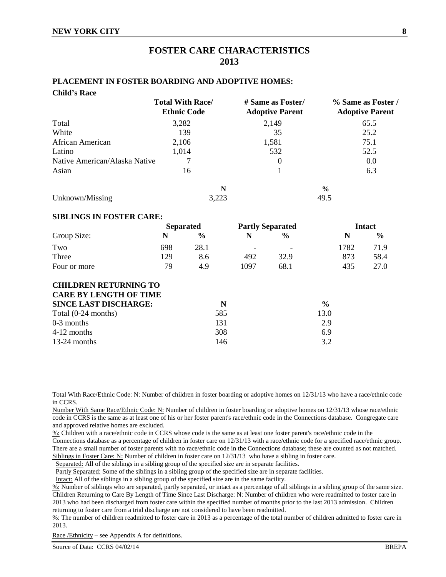## **FOSTER CARE CHARACTERISTICS 2013**

#### **PLACEMENT IN FOSTER BOARDING AND ADOPTIVE HOMES:**

| <b>Child's Race</b>           |                                               |                                             |                                              |
|-------------------------------|-----------------------------------------------|---------------------------------------------|----------------------------------------------|
|                               | <b>Total With Race/</b><br><b>Ethnic Code</b> | # Same as Foster/<br><b>Adoptive Parent</b> | % Same as Foster /<br><b>Adoptive Parent</b> |
| Total                         | 3,282                                         | 2,149                                       | 65.5                                         |
| White                         | 139                                           | 35                                          | 25.2                                         |
| African American              | 2,106                                         | 1,581                                       | 75.1                                         |
| Latino                        | 1,014                                         | 532                                         | 52.5                                         |
| Native American/Alaska Native |                                               | $\theta$                                    | 0.0                                          |
| Asian                         | 16                                            |                                             | 6.3                                          |
|                               | N                                             |                                             | $\frac{6}{6}$                                |
| Unknown/Missing               | 3,223                                         |                                             | 49.5                                         |
|                               |                                               |                                             |                                              |

#### **SIBLINGS IN FOSTER CARE:**

|              |     | <b>Separated</b> |                          | <b>Partly Separated</b>  |      | <b>Intact</b> |  |
|--------------|-----|------------------|--------------------------|--------------------------|------|---------------|--|
| Group Size:  |     | $\frac{0}{0}$    |                          | $\%$                     | N    | $\frac{0}{0}$ |  |
| Two          | 698 | 28.1             | $\overline{\phantom{0}}$ | $\overline{\phantom{0}}$ | 1782 | 71.9          |  |
| Three        | 129 | 8.6              | 492                      | 32.9                     | 873  | 58.4          |  |
| Four or more | 79  | 4.9              | 1097                     | 68.1                     | 435  | 27.0          |  |

| <b>CHILDREN RETURNING TO</b>  |     |               |
|-------------------------------|-----|---------------|
| <b>CARE BY LENGTH OF TIME</b> |     |               |
| <b>SINCE LAST DISCHARGE:</b>  | N   | $\frac{6}{9}$ |
| Total (0-24 months)           | 585 | 13.0          |
| $0-3$ months                  | 131 | 2.9           |
| 4-12 months                   | 308 | 6.9           |
| $13-24$ months                | 146 | 3.2           |

Total With Race/Ethnic Code: N: Number of children in foster boarding or adoptive homes on 12/31/13 who have a race/ethnic code in CCRS.

Number With Same Race/Ethnic Code: N: Number of children in foster boarding or adoptive homes on 12/31/13 whose race/ethnic code in CCRS is the same as at least one of his or her foster parent's race/ethnic code in the Connections database. Congregate care and approved relative homes are excluded.

%: Children with a race/ethnic code in CCRS whose code is the same as at least one foster parent's race/ethnic code in the

Connections database as a percentage of children in foster care on 12/31/13 with a race/ethnic code for a specified race/ethnic group. There are a small number of foster parents with no race/ethnic code in the Connections database; these are counted as not matched. Siblings in Foster Care: N: Number of children in foster care on  $12/31/13$  who have a sibling in foster care.

Separated: All of the siblings in a sibling group of the specified size are in separate facilities.

Partly Separated: Some of the siblings in a sibling group of the specified size are in separate facilities.

Intact: All of the siblings in a sibling group of the specified size are in the same facility.

%: Number of siblings who are separated, partly separated, or intact as a percentage of all siblings in a sibling group of the same size. Children Returning to Care By Length of Time Since Last Discharge: N: Number of children who were readmitted to foster care in 2013 who had been discharged from foster care within the specified number of months prior to the last 2013 admission. Children returning to foster care from a trial discharge are not considered to have been readmitted.

%: The number of children readmitted to foster care in 2013 as a percentage of the total number of children admitted to foster care in 2013.

Race /Ethnicity – see Appendix A for definitions.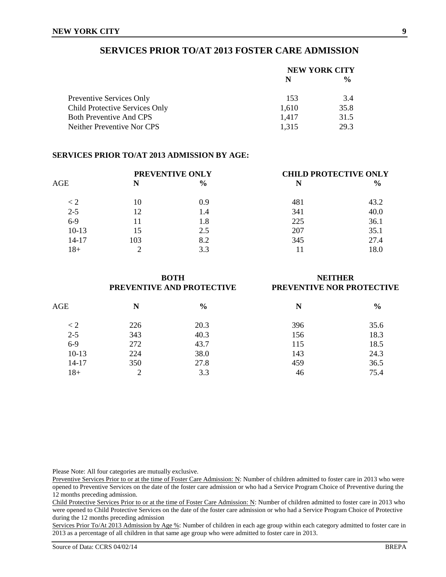## **SERVICES PRIOR TO/AT 2013 FOSTER CARE ADMISSION**

|                                 | <b>NEW YORK CITY</b> |               |  |
|---------------------------------|----------------------|---------------|--|
|                                 | N                    | $\frac{6}{9}$ |  |
| <b>Preventive Services Only</b> | 153                  | 3.4           |  |
| Child Protective Services Only  | 1,610                | 35.8          |  |
| <b>Both Preventive And CPS</b>  | 1.417                | 31.5          |  |
| Neither Preventive Nor CPS      | 1,315                | 29.3          |  |

#### **SERVICES PRIOR TO/AT 2013 ADMISSION BY AGE:**

|         |     | PREVENTIVE ONLY | <b>CHILD PROTECTIVE ONLY</b> |               |  |
|---------|-----|-----------------|------------------------------|---------------|--|
| AGE     | N   | $\frac{6}{6}$   | N                            | $\frac{0}{0}$ |  |
| $\lt 2$ | 10  | 0.9             | 481                          | 43.2          |  |
| $2 - 5$ | 12  | 1.4             | 341                          | 40.0          |  |
| $6-9$   | 11  | 1.8             | 225                          | 36.1          |  |
| $10-13$ | 15  | 2.5             | 207                          | 35.1          |  |
| 14-17   | 103 | 8.2             | 345                          | 27.4          |  |
| 18+     |     | 3.3             |                              | 18.0          |  |

|            |                | <b>BOTH</b><br>PREVENTIVE AND PROTECTIVE | <b>NEITHER</b><br>PREVENTIVE NOR PROTECTIVE |               |  |
|------------|----------------|------------------------------------------|---------------------------------------------|---------------|--|
| $\rm{AGE}$ | N              | $\frac{6}{9}$                            | N                                           | $\frac{6}{6}$ |  |
| $\lt 2$    | 226            | 20.3                                     | 396                                         | 35.6          |  |
| $2 - 5$    | 343            | 40.3                                     | 156                                         | 18.3          |  |
| $6-9$      | 272            | 43.7                                     | 115                                         | 18.5          |  |
| $10-13$    | 224            | 38.0                                     | 143                                         | 24.3          |  |
| $14 - 17$  | 350            | 27.8                                     | 459                                         | 36.5          |  |
| $18+$      | $\overline{2}$ | 3.3                                      | 46                                          | 75.4          |  |

Please Note: All four categories are mutually exclusive.

Preventive Services Prior to or at the time of Foster Care Admission: N: Number of children admitted to foster care in 2013 who were opened to Preventive Services on the date of the foster care admission or who had a Service Program Choice of Preventive during the 12 months preceding admission.

Child Protective Services Prior to or at the time of Foster Care Admission: N: Number of children admitted to foster care in 2013 who were opened to Child Protective Services on the date of the foster care admission or who had a Service Program Choice of Protective during the 12 months preceding admission

Services Prior To/At 2013 Admission by Age %: Number of children in each age group within each category admitted to foster care in 2013 as a percentage of all children in that same age group who were admitted to foster care in 2013.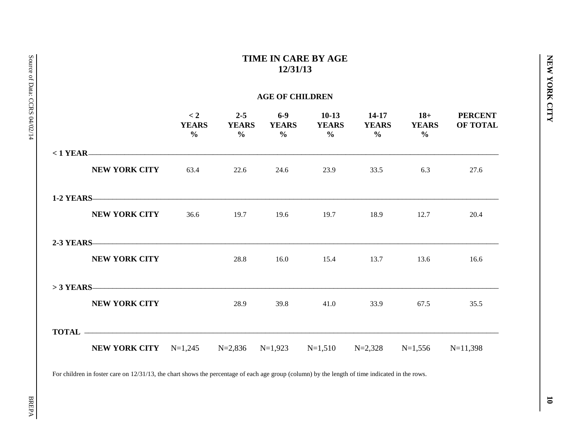# **TIME IN CARE BY AGE 12/31/13**

## **AGE OF CHILDREN**

|                                                                               | $\lt 2$<br><b>YEARS</b><br>$\frac{0}{0}$ | $2 - 5$<br><b>YEARS</b><br>$\frac{6}{6}$ | $6-9$<br><b>YEARS</b><br>$\frac{0}{0}$ | $10-13$<br><b>YEARS</b><br>$\frac{6}{10}$ | 14-17<br><b>YEARS</b><br>$\frac{6}{6}$ | $18+$<br><b>YEARS</b><br>$\frac{6}{6}$ | <b>PERCENT</b><br>OF TOTAL |
|-------------------------------------------------------------------------------|------------------------------------------|------------------------------------------|----------------------------------------|-------------------------------------------|----------------------------------------|----------------------------------------|----------------------------|
| $< 1$ YEAR                                                                    |                                          |                                          |                                        |                                           |                                        |                                        |                            |
| <b>NEW YORK CITY</b>                                                          |                                          | 63.4 22.6                                | 24.6                                   | 23.9                                      | 33.5                                   | 6.3                                    | 27.6                       |
|                                                                               |                                          |                                          |                                        |                                           |                                        |                                        |                            |
| <b>NEW YORK CITY</b>                                                          | 36.6                                     |                                          |                                        | 19.7 19.6 19.7 18.9                       |                                        | 12.7                                   | 20.4                       |
| 2-3 YEARS —————————————————————————————                                       |                                          |                                          |                                        |                                           |                                        |                                        |                            |
| <b>NEW YORK CITY</b>                                                          |                                          | 28.8                                     | 16.0                                   | 15.4                                      | 13.7                                   | 13.6                                   | 16.6                       |
|                                                                               |                                          |                                          |                                        |                                           |                                        |                                        |                            |
| <b>NEW YORK CITY</b>                                                          |                                          | 28.9                                     | 39.8                                   | 41.0                                      | 33.9                                   | 67.5                                   | 35.5                       |
|                                                                               |                                          |                                          |                                        |                                           |                                        |                                        |                            |
| <b>NEW YORK CITY</b> N=1,245 N=2,836 N=1,923 N=1,510 N=2,328 N=1,556 N=11,398 |                                          |                                          |                                        |                                           |                                        |                                        |                            |

For children in foster care on 12/31/13, the chart shows the percentage of each age group (column) by the length of time indicated in the rows.

**NEW YORK CITY**

NEW YORK CITY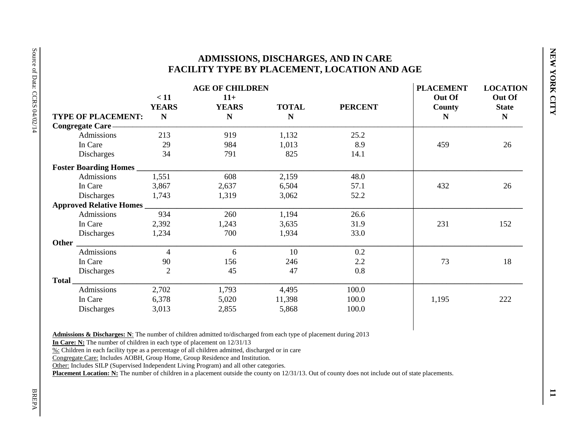## **ADMISSIONS, DISCHARGES, AND IN CARE FACILITY TYPE BY PLACEMENT, LOCATION AND AGE**

|                                |                      | <b>AGE OF CHILDREN</b> |              |                | <b>PLACEMENT</b> | <b>LOCATION</b>        |
|--------------------------------|----------------------|------------------------|--------------|----------------|------------------|------------------------|
|                                | < 11<br><b>YEARS</b> | $11+$<br><b>YEARS</b>  | <b>TOTAL</b> | <b>PERCENT</b> | Out Of<br>County | Out Of<br><b>State</b> |
| <b>TYPE OF PLACEMENT:</b>      | N                    | $\mathbf N$            | N            |                | N                | $\mathbf N$            |
| Congregate Care                |                      |                        |              |                |                  |                        |
| Admissions                     | 213                  | 919                    | 1,132        | 25.2           |                  |                        |
| In Care                        | 29                   | 984                    | 1,013        | 8.9            | 459              | 26                     |
| Discharges                     | 34                   | 791                    | 825          | 14.1           |                  |                        |
| <b>Foster Boarding Homes</b>   |                      |                        |              |                |                  |                        |
| Admissions                     | 1,551                | 608                    | 2,159        | 48.0           |                  |                        |
| In Care                        | 3,867                | 2,637                  | 6,504        | 57.1           | 432              | 26                     |
| Discharges                     | 1,743                | 1,319                  | 3,062        | 52.2           |                  |                        |
| <b>Approved Relative Homes</b> |                      |                        |              |                |                  |                        |
| Admissions                     | 934                  | 260                    | 1,194        | 26.6           |                  |                        |
| In Care                        | 2,392                | 1,243                  | 3,635        | 31.9           | 231              | 152                    |
| Discharges                     | 1,234                | 700                    | 1,934        | 33.0           |                  |                        |
| Other                          |                      |                        |              |                |                  |                        |
| Admissions                     | $\overline{4}$       | 6                      | 10           | 0.2            |                  |                        |
| In Care                        | 90                   | 156                    | 246          | 2.2            | 73               | 18                     |
| Discharges                     | $\overline{2}$       | 45                     | 47           | 0.8            |                  |                        |
| Total                          |                      |                        |              |                |                  |                        |
| Admissions                     | 2,702                | 1,793                  | 4,495        | 100.0          |                  |                        |
| In Care                        | 6,378                | 5,020                  | 11,398       | 100.0          | 1,195            | 222                    |
| Discharges                     | 3,013                | 2,855                  | 5,868        | 100.0          |                  |                        |

**Admissions & Discharges: N**: The number of children admitted to/discharged from each type of placement during 2013

**In Care: N:** The number of children in each type of placement on 12/31/13

%: Children in each facility type as a percentage of all children admitted, discharged or in care

Congregate Care: Includes AOBH, Group Home, Group Residence and Institution.

Other: Includes SILP (Supervised Independent Living Program) and all other categories.

Placement Location: N: The number of children in a placement outside the county on 12/31/13. Out of county does not include out of state placements.

**NEW YORK CITY**

NEW YORK CITY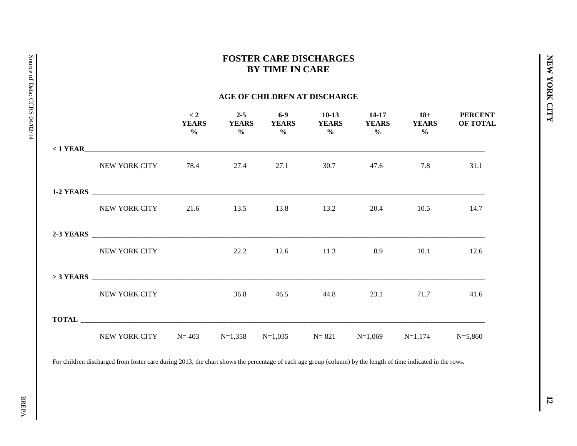# **FOSTER CARE DISCHARGES BY TIME IN CARE**

## **AGE OF CHILDREN AT DISCHARGE**

|                                                                   | $\lt 2$<br><b>YEARS</b> |  | $\frac{0}{0}$ $\frac{0}{0}$ $\frac{0}{0}$ $\frac{0}{0}$ $\frac{0}{0}$ $\frac{0}{0}$ $\frac{0}{0}$ $\frac{0}{0}$ | YEARS YEARS YEARS YEARS YEARS YEARS | 2-5 6-9 10-13 14-17 18+ PERCENT<br><b>OF TOTAL</b> |
|-------------------------------------------------------------------|-------------------------|--|-----------------------------------------------------------------------------------------------------------------|-------------------------------------|----------------------------------------------------|
|                                                                   |                         |  |                                                                                                                 |                                     |                                                    |
| NEW YORK CITY 78.4 27.4 27.1                                      |                         |  | 30.7 47.6                                                                                                       | 7.8                                 | 31.1                                               |
|                                                                   |                         |  |                                                                                                                 |                                     |                                                    |
| NEW YORK CITY 21.6 13.5 13.8 13.2                                 |                         |  |                                                                                                                 | 20.4 10.5                           | 14.7                                               |
|                                                                   |                         |  |                                                                                                                 |                                     |                                                    |
| NEW YORK CITY                                                     |                         |  |                                                                                                                 | 22.2 12.6 11.3 8.9 10.1 12.6        |                                                    |
|                                                                   |                         |  |                                                                                                                 |                                     |                                                    |
| NEW YORK CITY                                                     |                         |  |                                                                                                                 | 36.8 46.5 44.8 23.1 71.7            | 41.6                                               |
|                                                                   |                         |  |                                                                                                                 |                                     |                                                    |
| NEW YORK CITY N=403 N=1,358 N=1,035 N=821 N=1,069 N=1,174 N=5,860 |                         |  |                                                                                                                 |                                     |                                                    |

For children discharged from foster care during 2013, the chart shows the percentage of each age group (column) by the length of time indicated in the rows.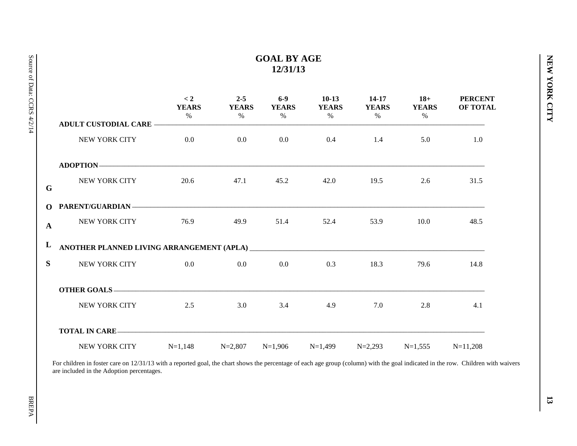# **GOAL BY AGE 12/31/13**

|              |                                                                                                                | < 2<br><b>YEARS</b><br>$\%$ | <b>YEARS</b><br>$\%$ $\%$ | $2-5$ 6-9<br><b>YEARS</b> | $10-13$ 14-17<br>YEARS YEARS YEARS<br>$\%$ | $\%$      | $18+$<br>$\%$                             | <b>PERCENT</b><br><b>OF TOTAL</b> |
|--------------|----------------------------------------------------------------------------------------------------------------|-----------------------------|---------------------------|---------------------------|--------------------------------------------|-----------|-------------------------------------------|-----------------------------------|
|              |                                                                                                                |                             |                           |                           |                                            |           |                                           |                                   |
|              | NEW YORK CITY 0.0                                                                                              |                             |                           |                           | $0.0$ 0.0 0.4 1.4                          |           |                                           | 5.0 1.0                           |
|              | ADOPTION-                                                                                                      |                             |                           |                           |                                            |           |                                           |                                   |
| G            | NEW YORK CITY                                                                                                  |                             | 20.6 47.1                 | 45.2                      |                                            | 42.0 19.5 | $2.6\phantom{00000000000000000000000000}$ | 31.5                              |
|              | O PARENT/GUARDIAN - THE CONTROL OF PARENT AND THE CONTROL OF PARENT AND THE CONTROL OF PARTIES OF PARTIES OF P |                             |                           |                           |                                            |           |                                           |                                   |
| $\mathbf{A}$ | NEW YORK CITY 76.9 49.9                                                                                        |                             |                           | 51.4                      | 52.4                                       | 53.9      | 10.0                                      | 48.5                              |
|              |                                                                                                                |                             |                           |                           |                                            |           |                                           |                                   |
|              | S NEW YORK CITY 0.0 0.0 0.0 0.0                                                                                |                             |                           |                           | 0.3                                        | 18.3      | 79.6                                      | 14.8                              |
|              |                                                                                                                |                             |                           |                           |                                            |           |                                           |                                   |
|              | NEW YORK CITY 2.5                                                                                              |                             |                           |                           | 3.0 3.4 4.9                                | 7.0       |                                           | 2.8<br>4.1                        |
|              |                                                                                                                |                             |                           |                           |                                            |           |                                           |                                   |
|              | NEW YORK CITY $N=1,148$ $N=2,807$ $N=1,906$ $N=1,499$ $N=2,293$ $N=1,555$ $N=11,208$                           |                             |                           |                           |                                            |           |                                           |                                   |

For children in foster care on 12/31/13 with a reported goal, the chart shows the percentage of each age group (column) with the goal indicated in the row. Children with waivers are included in the Adoption percentages.

**NEW YORK CITY**

NEW YORK CITY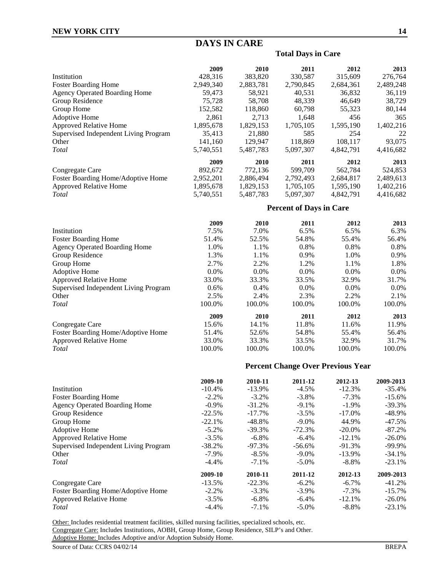# **DAYS IN CARE**

## **Total Days in Care**

|                                       | 2009      | 2010                | 2011                           | 2012                                     | 2013      |
|---------------------------------------|-----------|---------------------|--------------------------------|------------------------------------------|-----------|
| Institution                           | 428,316   | 383,820             | 330,587                        | 315,609                                  | 276,764   |
| <b>Foster Boarding Home</b>           | 2,949,340 | 2,883,781           | 2,790,845                      | 2,684,361                                | 2,489,248 |
| <b>Agency Operated Boarding Home</b>  | 59,473    | 58,921              | 40,531                         | 36,832                                   | 36,119    |
| Group Residence                       | 75,728    | 58,708              | 48,339                         | 46,649                                   | 38,729    |
| Group Home                            | 152,582   | 118,860             | 60,798                         | 55,323                                   | 80,144    |
| Adoptive Home                         | 2,861     | 2,713               | 1,648                          | 456                                      | 365       |
| Approved Relative Home                | 1,895,678 | 1,829,153           | 1,705,105                      | 1,595,190                                | 1,402,216 |
| Supervised Independent Living Program | 35,413    | 21,880              | 585                            | 254                                      | 22        |
| Other                                 | 141,160   | 129,947             | 118,869                        | 108,117                                  | 93,075    |
| Total                                 | 5,740,551 | 5,487,783           | 5,097,307                      | 4,842,791                                | 4,416,682 |
|                                       | 2009      | 2010                | 2011                           | 2012                                     | 2013      |
| Congregate Care                       | 892,672   | 772,136             | 599,709                        | 562,784                                  | 524,853   |
| Foster Boarding Home/Adoptive Home    | 2,952,201 | 2,886,494           | 2,792,493                      | 2,684,817                                | 2,489,613 |
| <b>Approved Relative Home</b>         | 1,895,678 | 1,829,153           | 1,705,105                      | 1,595,190                                | 1,402,216 |
| Total                                 | 5,740,551 | 5,487,783           | 5,097,307                      | 4,842,791                                | 4,416,682 |
|                                       |           |                     | <b>Percent of Days in Care</b> |                                          |           |
|                                       | 2009      | 2010                | 2011                           | 2012                                     | 2013      |
| Institution                           | 7.5%      | 7.0%                | 6.5%                           | 6.5%                                     | 6.3%      |
| <b>Foster Boarding Home</b>           | 51.4%     | 52.5%               | 54.8%                          | 55.4%                                    | 56.4%     |
| <b>Agency Operated Boarding Home</b>  | 1.0%      | 1.1%                | 0.8%                           | 0.8%                                     | 0.8%      |
| Group Residence                       | 1.3%      | 1.1%                | 0.9%                           | 1.0%                                     | 0.9%      |
| Group Home                            | 2.7%      | 2.2%                | 1.2%                           | 1.1%                                     | 1.8%      |
| Adoptive Home                         | 0.0%      | 0.0%                | 0.0%                           | 0.0%                                     | 0.0%      |
| Approved Relative Home                | 33.0%     | 33.3%               | 33.5%                          | 32.9%                                    | 31.7%     |
| Supervised Independent Living Program | 0.6%      | 0.4%                | $0.0\%$                        | 0.0%                                     | 0.0%      |
| Other                                 | 2.5%      | 2.4%                | 2.3%                           | 2.2%                                     | 2.1%      |
| Total                                 | 100.0%    | 100.0%              | 100.0%                         | 100.0%                                   | 100.0%    |
|                                       | 2009      | 2010                | 2011                           | 2012                                     | 2013      |
| Congregate Care                       | 15.6%     | 14.1%               | 11.8%                          | 11.6%                                    | 11.9%     |
| Foster Boarding Home/Adoptive Home    | 51.4%     | 52.6%               | 54.8%                          | 55.4%                                    | 56.4%     |
| Approved Relative Home                | 33.0%     | 33.3%               | 33.5%                          | 32.9%                                    | 31.7%     |
| Total                                 | 100.0%    | 100.0%              | 100.0%                         | 100.0%                                   | 100.0%    |
|                                       |           |                     |                                | <b>Percent Change Over Previous Year</b> |           |
|                                       | 2009-10   |                     |                                | 2012-13                                  | 2009-2013 |
| Institution                           | $-10.4%$  | 2010-11<br>$-13.9%$ | 2011-12<br>$-4.5%$             | $-12.3%$                                 | $-35.4%$  |
| <b>Foster Boarding Home</b>           | $-2.2%$   | $-3.2%$             | $-3.8%$                        | $-7.3%$                                  | $-15.6%$  |
| <b>Agency Operated Boarding Home</b>  | $-0.9%$   | $-31.2%$            | $-9.1%$                        | $-1.9%$                                  | $-39.3%$  |
| Group Residence                       | $-22.5%$  | $-17.7%$            | $-3.5%$                        | $-17.0%$                                 | -48.9%    |
| Group Home                            | $-22.1%$  | $-48.8%$            | $-9.0%$                        | 44.9%                                    | $-47.5%$  |
|                                       |           |                     |                                |                                          |           |

| $-5.2\%$  | $-39.3\%$ | $-72.3%$  | $-20.0\%$ | $-87.2\%$ |
|-----------|-----------|-----------|-----------|-----------|
| $-3.5\%$  | $-6.8\%$  | $-6.4\%$  | $-12.1%$  | $-26.0\%$ |
| -38.2%    | $-97.3%$  | $-56.6\%$ | $-91.3%$  | $-99.9\%$ |
| $-7.9\%$  | $-8.5\%$  | $-9.0\%$  | $-13.9\%$ | $-34.1%$  |
| $-4.4\%$  | $-7.1\%$  | $-5.0\%$  | $-8.8\%$  | $-23.1\%$ |
| 2009-10   | 2010-11   | 2011-12   | 2012-13   | 2009-2013 |
| $-13.5\%$ | $-22.3%$  | $-6.2\%$  | $-6.7\%$  | $-41.2%$  |
| $-2.2\%$  | $-3.3\%$  | $-3.9\%$  | $-7.3\%$  | $-15.7\%$ |
| $-3.5\%$  | $-6.8\%$  | $-6.4\%$  | $-12.1\%$ | $-26.0\%$ |
| $-4.4\%$  | $-7.1\%$  | $-5.0\%$  | $-8.8\%$  | $-23.1\%$ |
|           |           |           |           |           |

Other: Includes residential treatment facilities, skilled nursing facilities, specialized schools, etc. Congregate Care: Includes Institutions, AOBH, Group Home, Group Residence, SILP's and Other. Adoptive Home: Includes Adoptive and/or Adoption Subsidy Home.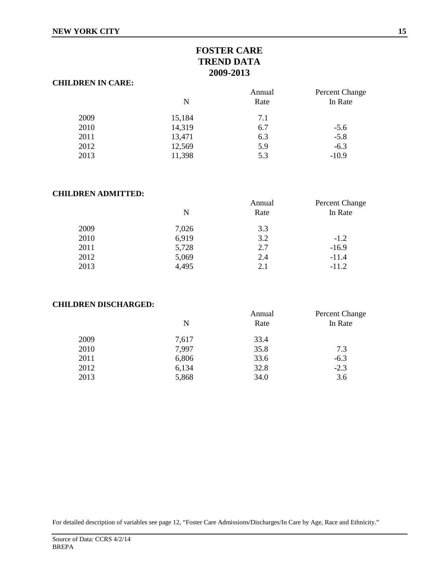# **FOSTER CARE TREND DATA 2009-2013**

#### **CHILDREN IN CARE:**

|      | N      | Annual<br>Rate | Percent Change<br>In Rate |
|------|--------|----------------|---------------------------|
| 2009 | 15,184 | 7.1            |                           |
| 2010 | 14,319 | 6.7            | $-5.6$                    |
| 2011 | 13,471 | 6.3            | $-5.8$                    |
| 2012 | 12,569 | 5.9            | $-6.3$                    |
| 2013 | 11,398 | 5.3            | $-10.9$                   |

### **CHILDREN ADMITTED:**

|       | Annual | Percent Change |
|-------|--------|----------------|
| N     | Rate   | In Rate        |
| 7,026 | 3.3    |                |
| 6,919 | 3.2    | $-1.2$         |
| 5,728 | 2.7    | $-16.9$        |
| 5,069 | 2.4    | $-11.4$        |
| 4,495 | 2.1    | $-11.2$        |
|       |        |                |

#### **CHILDREN DISCHARGED:**

|      |       | Annual | Percent Change |
|------|-------|--------|----------------|
|      | N     | Rate   | In Rate        |
| 2009 | 7,617 | 33.4   |                |
| 2010 | 7,997 | 35.8   | 7.3            |
| 2011 | 6,806 | 33.6   | $-6.3$         |
| 2012 | 6,134 | 32.8   | $-2.3$         |
| 2013 | 5,868 | 34.0   | 3.6            |
|      |       |        |                |

For detailed description of variables see page 12, "Foster Care Admissions/Discharges/In Care by Age, Race and Ethnicity."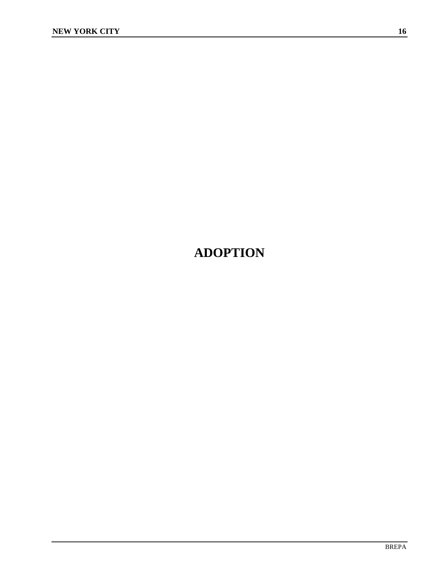# **ADOPTION**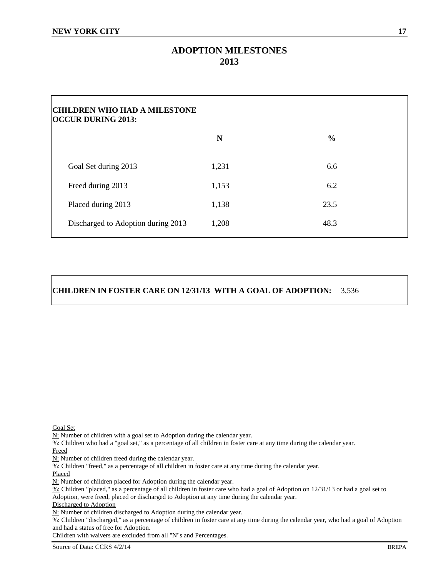# **ADOPTION MILESTONES 2013**

| <b>CHILDREN WHO HAD A MILESTONE</b><br><b>OCCUR DURING 2013:</b> |       |               |
|------------------------------------------------------------------|-------|---------------|
|                                                                  | N     | $\frac{0}{0}$ |
| Goal Set during 2013                                             | 1,231 | 6.6           |
| Freed during 2013                                                | 1,153 | 6.2           |
| Placed during 2013                                               | 1,138 | 23.5          |
| Discharged to Adoption during 2013                               | 1,208 | 48.3          |

## **CHILDREN IN FOSTER CARE ON 12/31/13 WITH A GOAL OF ADOPTION:** 3,536

Goal Set

N: Number of children with a goal set to Adoption during the calendar year.

%: Children who had a "goal set," as a percentage of all children in foster care at any time during the calendar year. Freed

N: Number of children freed during the calendar year.

%: Children "freed," as a percentage of all children in foster care at any time during the calendar year.

Placed

 $N:$  Number of children placed for Adoption during the calendar year.

 $\overline{\frac{96}{}}$ : Children "placed," as a percentage of all children in foster care who had a goal of Adoption on 12/31/13 or had a goal set to Adoption, were freed, placed or discharged to Adoption at any time during the calendar year.

Discharged to Adoption

N: Number of children discharged to Adoption during the calendar year.

%: Children "discharged," as a percentage of children in foster care at any time during the calendar year, who had a goal of Adoption and had a status of free for Adoption.

Children with waivers are excluded from all "N"s and Percentages.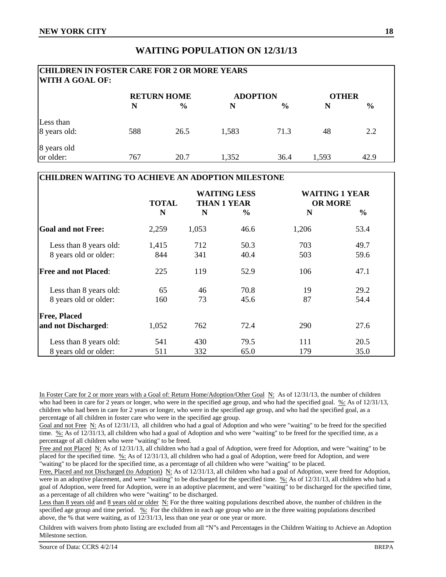## **WAITING POPULATION ON 12/31/13**

# **CHILDREN IN FOSTER CARE FOR 2 OR MORE YEARS WITH A GOAL OF: RETURN HOME ADOPTION OTHER N % N % N %** Less than 8 years old: 588 26.5 1,583 71.3 48 2.2 8 years old or older: 20.7 1,352 36.4 1,593 42.9

#### **CHILDREN WAITING TO ACHIEVE AN ADOPTION MILESTONE**

|                             | <b>TOTAL</b> | <b>WAITING LESS</b><br><b>THAN 1 YEAR</b> |               | <b>WAITING 1 YEAR</b><br><b>OR MORE</b> |               |
|-----------------------------|--------------|-------------------------------------------|---------------|-----------------------------------------|---------------|
|                             | N            | N                                         | $\frac{6}{9}$ | N                                       | $\frac{6}{6}$ |
| <b>Goal and not Free:</b>   | 2,259        | 1,053                                     | 46.6          | 1,206                                   | 53.4          |
| Less than 8 years old:      | 1,415        | 712                                       | 50.3          | 703                                     | 49.7          |
| 8 years old or older:       | 844          | 341                                       | 40.4          | 503                                     | 59.6          |
| <b>Free and not Placed:</b> | 225          | 119                                       | 52.9          | 106                                     | 47.1          |
| Less than 8 years old:      | 65           | 46                                        | 70.8          | 19                                      | 29.2          |
| 8 years old or older:       | 160          | 73                                        | 45.6          | 87                                      | 54.4          |
| <b>Free, Placed</b>         |              |                                           |               |                                         |               |
| and not Discharged:         | 1,052        | 762                                       | 72.4          | 290                                     | 27.6          |
| Less than 8 years old:      | 541          | 430                                       | 79.5          | 111                                     | 20.5          |
| 8 years old or older:       | 511          | 332                                       | 65.0          | 179                                     | 35.0          |

In Foster Care for 2 or more years with a Goal of: Return Home/Adoption/Other Goal N: As of 12/31/13, the number of children who had been in care for 2 years or longer, who were in the specified age group, and who had the specified goal. %: As of  $12/31/13$ , children who had been in care for 2 years or longer, who were in the specified age group, and who had the specified goal, as a percentage of all children in foster care who were in the specified age group.

Goal and not FreeN: As of 12/31/13, all children who had a goal of Adoption and who were "waiting" to be freed for the specified time.  $\frac{\%}{\%}$  As of 12/31/13, all children who had a goal of Adoption and who were "waiting" to be freed for the specified time, as a percentage of all children who were "waiting" to be freed.

Free and not Placed N: As of 12/31/13, all children who had a goal of Adoption, were freed for Adoption, and were "waiting" to be placed for the specified time. %: As of 12/31/13, all children who had a goal of Adoption, were freed for Adoption, and were "waiting" to be placed for the specified time, as a percentage of all children who were "waiting" to be placed.

Free, Placed and not Discharged (to Adoption) N: As of 12/31/13, all children who had a goal of Adoption, were freed for Adoption, were in an adoptive placement, and were "waiting" to be discharged for the specified time. %: As of 12/31/13, all children who had a goal of Adoption, were freed for Adoption, were in an adoptive placement, and were "waiting" to be discharged for the specified time, as a percentage of all children who were "waiting" to be discharged.

Less than 8 years old and 8 years old or older N: For the three waiting populations described above, the number of children in the specified age group and time period.  $\frac{100}{2}$ : For the children in each age group who are in the three waiting populations described above, the % that were waiting, as of 12/31/13, less than one year or one year or more.

Children with waivers from photo listing are excluded from all "N"s and Percentages in the Children Waiting to Achieve an Adoption Milestone section.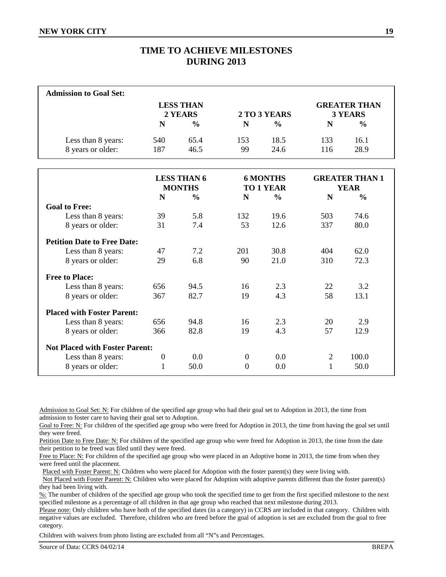# **TIME TO ACHIEVE MILESTONES DURING 2013**

| <b>Admission to Goal Set:</b>           |            |                             |           |               |            |                                |
|-----------------------------------------|------------|-----------------------------|-----------|---------------|------------|--------------------------------|
|                                         |            | <b>LESS THAN</b><br>2 YEARS |           | 2 TO 3 YEARS  |            | <b>GREATER THAN</b><br>3 YEARS |
|                                         | N          | $\frac{0}{0}$               | N         | $\frac{0}{0}$ | N          | $\frac{6}{6}$                  |
| Less than 8 years:<br>8 years or older: | 540<br>187 | 65.4<br>46.5                | 153<br>99 | 18.5<br>24.6  | 133<br>116 | 16.1<br>28.9                   |

|                                       |                  | <b>LESS THAN 6</b><br><b>MONTHS</b> |                  | <b>6 MONTHS</b><br><b>TO 1 YEAR</b> |                | <b>GREATER THAN 1</b><br><b>YEAR</b> |
|---------------------------------------|------------------|-------------------------------------|------------------|-------------------------------------|----------------|--------------------------------------|
|                                       | N                | $\frac{6}{9}$                       | N                | $\frac{0}{0}$                       | N              | $\frac{0}{0}$                        |
| <b>Goal to Free:</b>                  |                  |                                     |                  |                                     |                |                                      |
| Less than 8 years:                    | 39               | 5.8                                 | 132              | 19.6                                | 503            | 74.6                                 |
| 8 years or older:                     | 31               | 7.4                                 | 53               | 12.6                                | 337            | 80.0                                 |
| <b>Petition Date to Free Date:</b>    |                  |                                     |                  |                                     |                |                                      |
| Less than 8 years:                    | 47               | 7.2                                 | 201              | 30.8                                | 404            | 62.0                                 |
| 8 years or older:                     | 29               | 6.8                                 | 90               | 21.0                                | 310            | 72.3                                 |
| <b>Free to Place:</b>                 |                  |                                     |                  |                                     |                |                                      |
| Less than 8 years:                    | 656              | 94.5                                | 16               | 2.3                                 | 22             | 3.2                                  |
| 8 years or older:                     | 367              | 82.7                                | 19               | 4.3                                 | 58             | 13.1                                 |
| <b>Placed with Foster Parent:</b>     |                  |                                     |                  |                                     |                |                                      |
| Less than 8 years:                    | 656              | 94.8                                | 16               | 2.3                                 | 20             | 2.9                                  |
| 8 years or older:                     | 366              | 82.8                                | 19               | 4.3                                 | 57             | 12.9                                 |
| <b>Not Placed with Foster Parent:</b> |                  |                                     |                  |                                     |                |                                      |
| Less than 8 years:                    | $\boldsymbol{0}$ | 0.0                                 | $\boldsymbol{0}$ | 0.0                                 | $\overline{2}$ | 100.0                                |
| 8 years or older:                     | 1                | 50.0                                | $\theta$         | 0.0                                 | $\mathbf{1}$   | 50.0                                 |

Admission to Goal Set: N: For children of the specified age group who had their goal set to Adoption in 2013, the time from admission to foster care to having their goal set to Adoption.

Goal to Free: N: For children of the specified age group who were freed for Adoption in 2013, the time from having the goal set until they were freed.

Petition Date to Free Date: N: For children of the specified age group who were freed for Adoption in 2013, the time from the date their petition to be freed was filed until they were freed.

Free to Place: N: For children of the specified age group who were placed in an Adoptive home in 2013, the time from when they were freed until the placement.

Placed with Foster Parent: N: Children who were placed for Adoption with the foster parent(s) they were living with.

 Not Placed with Foster Parent: N: Children who were placed for Adoption with adoptive parents different than the foster parent(s) they had been living with.

%: The number of children of the specified age group who took the specified time to get from the first specified milestone to the next specified milestone as a percentage of all children in that age group who reached that next milestone during 2013.

Please note: Only children who have both of the specified dates (in a category) in CCRS are included in that category. Children with negative values are excluded. Therefore, children who are freed before the goal of adoption is set are excluded from the goal to free category.

Children with waivers from photo listing are excluded from all "N"s and Percentages.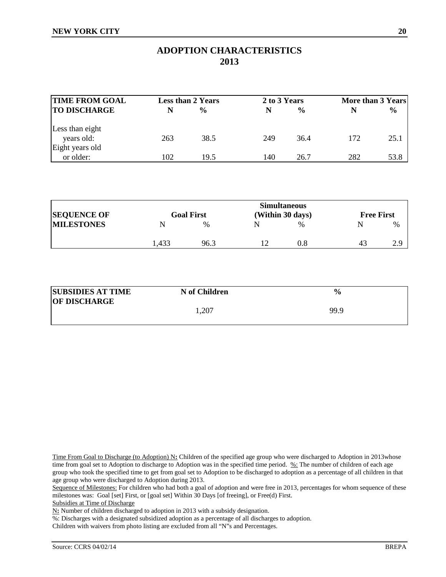## **ADOPTION CHARACTERISTICS 2013**

| <b>TIME FROM GOAL</b> |     | <b>Less than 2 Years</b> | 2 to 3 Years |               | More than 3 Years |               |
|-----------------------|-----|--------------------------|--------------|---------------|-------------------|---------------|
| <b>TO DISCHARGE</b>   |     | $\frac{6}{9}$            | N            | $\frac{0}{0}$ |                   | $\frac{6}{9}$ |
| Less than eight       |     |                          |              |               |                   |               |
| years old:            | 263 | 38.5                     | 249          | 36.4          | 172               | 25.1          |
| Eight years old       |     |                          |              |               |                   |               |
| or older:             | 102 | 19.5                     | 140          | 26.7          | 282               | 53.8          |

|                    |       |                   | <b>Simultaneous</b> |                   |      |
|--------------------|-------|-------------------|---------------------|-------------------|------|
| <b>SEQUENCE OF</b> |       | <b>Goal First</b> | (Within 30 days)    | <b>Free First</b> |      |
| <b>MILESTONES</b>  |       | $\frac{0}{0}$     | $\%$                |                   | $\%$ |
|                    | l.433 | 96.3              | 0.8                 | 4 <sup>2</sup>    |      |

| <b>SUBSIDIES AT TIME</b> | N of Children | $\frac{6}{9}$ |
|--------------------------|---------------|---------------|
| <b>OF DISCHARGE</b>      |               |               |
|                          | ,207          | 99.9          |

Time From Goal to Discharge (to Adoption) N**:** Children of the specified age group who were discharged to Adoption in 2013whose time from goal set to Adoption to discharge to Adoption was in the specified time period. %: The number of children of each age group who took the specified time to get from goal set to Adoption to be discharged to adoption as a percentage of all children in that age group who were discharged to Adoption during 2013.

Sequence of Milestones: For children who had both a goal of adoption and were free in 2013, percentages for whom sequence of these milestones was: Goal [set] First, or [goal set] Within 30 Days [of freeing], or Free(d) First.

N**:** Number of children discharged to adoption in 2013 with a subsidy designation.

%: Discharges with a designated subsidized adoption as a percentage of all discharges to adoption.

Children with waivers from photo listing are excluded from all "N"s and Percentages.

Subsidies at Time of Discharge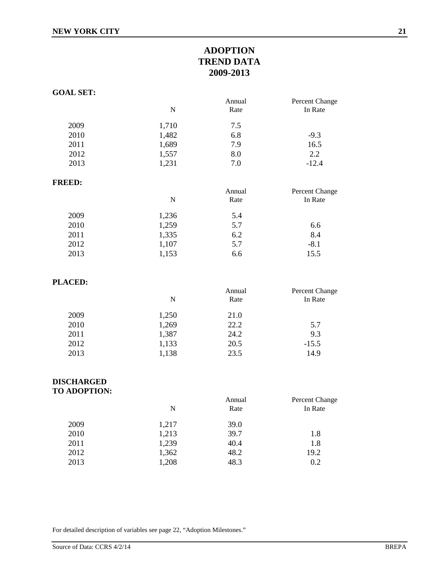# **ADOPTION TREND DATA 2009-2013**

| <b>GOAL SET:</b> |           |        |                |
|------------------|-----------|--------|----------------|
|                  |           | Annual | Percent Change |
|                  | ${\bf N}$ | Rate   | In Rate        |
| 2009             | 1,710     | 7.5    |                |
| 2010             | 1,482     | 6.8    | $-9.3$         |
| 2011             | 1,689     | 7.9    | 16.5           |
| 2012             | 1,557     | 8.0    | 2.2            |
| 2013             | 1,231     | 7.0    | $-12.4$        |
| <b>FREED:</b>    |           |        |                |
|                  |           | Annual | Percent Change |
|                  | ${\bf N}$ | Rate   | In Rate        |
| 2009             | 1,236     | 5.4    |                |
| 2010             | 1,259     | 5.7    | 6.6            |
| 2011             | 1,335     | 6.2    | 8.4            |
| 2012             | 1,107     | 5.7    | $-8.1$         |
| 2013             | 1,153     | 6.6    | 15.5           |
| <b>PLACED:</b>   |           |        |                |
|                  |           | Annual | Percent Change |

|      | N     | .<br>Rate | T execut change<br>In Rate |
|------|-------|-----------|----------------------------|
| 2009 | 1,250 | 21.0      |                            |
| 2010 | 1,269 | 22.2      | 5.7                        |
| 2011 | 1,387 | 24.2      | 9.3                        |
| 2012 | 1,133 | 20.5      | $-15.5$                    |
| 2013 | 1,138 | 23.5      | 14.9                       |
|      |       |           |                            |

# **DISCHARGED**

**TO ADOPTION:**

| N     | Annual         | Percent Change<br>In Rate |
|-------|----------------|---------------------------|
|       |                |                           |
| 1,213 | 39.7           | 1.8                       |
| 1,239 | 40.4           | 1.8                       |
| 1,208 | 48.3           | 19.2<br>0.2               |
|       | 1,217<br>1,362 | Rate<br>39.0<br>48.2      |

For detailed description of variables see page 22, "Adoption Milestones."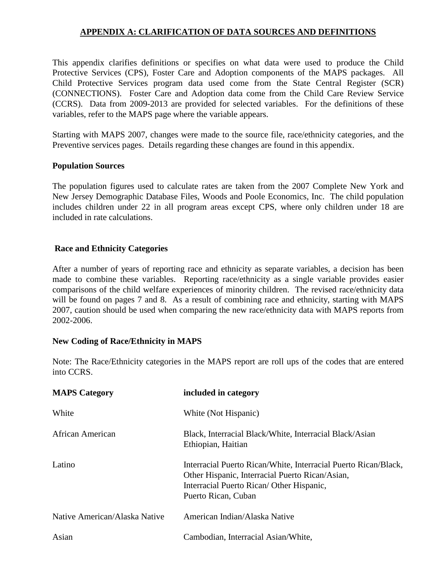## **APPENDIX A: CLARIFICATION OF DATA SOURCES AND DEFINITIONS**

This appendix clarifies definitions or specifies on what data were used to produce the Child Protective Services (CPS), Foster Care and Adoption components of the MAPS packages. All Child Protective Services program data used come from the State Central Register (SCR) (CONNECTIONS). Foster Care and Adoption data come from the Child Care Review Service (CCRS). Data from 2009-2013 are provided for selected variables. For the definitions of these variables, refer to the MAPS page where the variable appears.

Starting with MAPS 2007, changes were made to the source file, race/ethnicity categories, and the Preventive services pages. Details regarding these changes are found in this appendix.

## **Population Sources**

The population figures used to calculate rates are taken from the 2007 Complete New York and New Jersey Demographic Database Files, Woods and Poole Economics, Inc. The child population includes children under 22 in all program areas except CPS, where only children under 18 are included in rate calculations.

## **Race and Ethnicity Categories**

After a number of years of reporting race and ethnicity as separate variables, a decision has been made to combine these variables. Reporting race/ethnicity as a single variable provides easier comparisons of the child welfare experiences of minority children. The revised race/ethnicity data will be found on pages 7 and 8. As a result of combining race and ethnicity, starting with MAPS 2007, caution should be used when comparing the new race/ethnicity data with MAPS reports from 2002-2006.

## **New Coding of Race/Ethnicity in MAPS**

Note: The Race/Ethnicity categories in the MAPS report are roll ups of the codes that are entered into CCRS.

| <b>MAPS Category</b>          | included in category                                                                                                                                                                   |
|-------------------------------|----------------------------------------------------------------------------------------------------------------------------------------------------------------------------------------|
| White                         | White (Not Hispanic)                                                                                                                                                                   |
| African American              | Black, Interracial Black/White, Interracial Black/Asian<br>Ethiopian, Haitian                                                                                                          |
| Latino                        | Interracial Puerto Rican/White, Interracial Puerto Rican/Black,<br>Other Hispanic, Interracial Puerto Rican/Asian,<br>Interracial Puerto Rican/ Other Hispanic,<br>Puerto Rican, Cuban |
| Native American/Alaska Native | American Indian/Alaska Native                                                                                                                                                          |
| Asian                         | Cambodian, Interracial Asian/White,                                                                                                                                                    |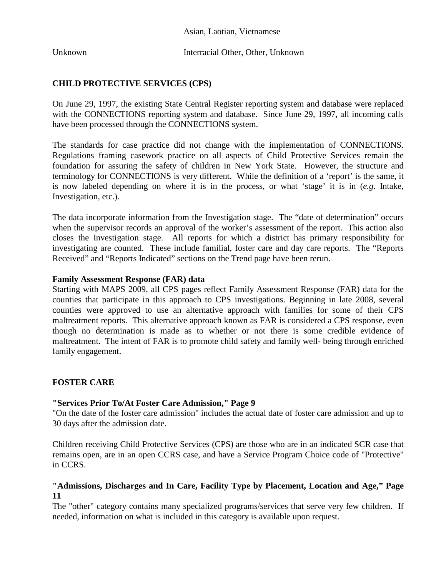Unknown Interracial Other, Other, Unknown

## **CHILD PROTECTIVE SERVICES (CPS)**

On June 29, 1997, the existing State Central Register reporting system and database were replaced with the CONNECTIONS reporting system and database. Since June 29, 1997, all incoming calls have been processed through the CONNECTIONS system.

The standards for case practice did not change with the implementation of CONNECTIONS. Regulations framing casework practice on all aspects of Child Protective Services remain the foundation for assuring the safety of children in New York State. However, the structure and terminology for CONNECTIONS is very different. While the definition of a 'report' is the same, it is now labeled depending on where it is in the process, or what 'stage' it is in (*e.g*. Intake, Investigation, etc.).

The data incorporate information from the Investigation stage. The "date of determination" occurs when the supervisor records an approval of the worker's assessment of the report. This action also closes the Investigation stage. All reports for which a district has primary responsibility for investigating are counted. These include familial, foster care and day care reports. The "Reports Received" and "Reports Indicated" sections on the Trend page have been rerun.

### **Family Assessment Response (FAR) data**

Starting with MAPS 2009, all CPS pages reflect Family Assessment Response (FAR) data for the counties that participate in this approach to CPS investigations. Beginning in late 2008, several counties were approved to use an alternative approach with families for some of their CPS maltreatment reports. This alternative approach known as FAR is considered a CPS response, even though no determination is made as to whether or not there is some credible evidence of maltreatment. The intent of FAR is to promote child safety and family well- being through enriched family engagement.

## **FOSTER CARE**

## **"Services Prior To/At Foster Care Admission," Page 9**

"On the date of the foster care admission" includes the actual date of foster care admission and up to 30 days after the admission date.

Children receiving Child Protective Services (CPS) are those who are in an indicated SCR case that remains open, are in an open CCRS case, and have a Service Program Choice code of "Protective" in CCRS.

## **"Admissions, Discharges and In Care, Facility Type by Placement, Location and Age," Page 11**

The "other" category contains many specialized programs/services that serve very few children. If needed, information on what is included in this category is available upon request.